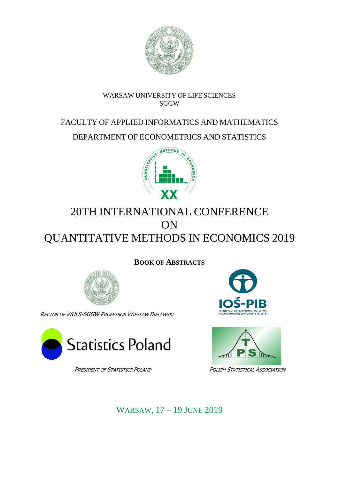

# WARSAW UNIVERSITY OF LIFE SCIENCES **SGGW**

# FACULTY OF APPLIED INFORMATICS AND MATHEMATICS

DEPARTMENT OF ECONOMETRICS AND STATISTICS



# 20TH INTERNATIONAL CONFERENCE ON QUANTITATIVE METHODS IN ECONOMICS 2019

**BOOK OF ABSTRACTS**



RECTOR OF WULS-SGGW PROFESSOR WIESŁAW BIELAWSKI







PRESIDENT OF STATISTICS POLAND POLISH STATISTICAL ASSOCIATION

WARSAW, 17 – 19 JUNE 2019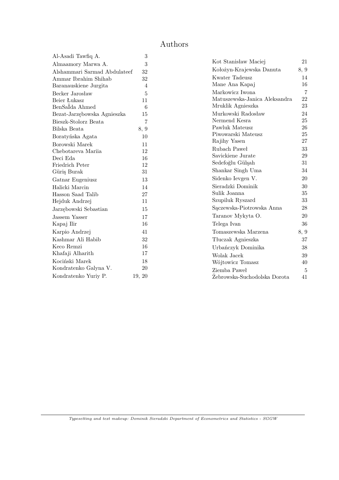# Authors

| Al-Asadi Tawfiq A.           | 3      |
|------------------------------|--------|
| Almaamory Marwa A.           | 3      |
| Alshammari Sarmad Abdulateef | 32     |
| Ammar Ibrahim Shihab         | 32     |
| Baranauskiene Jurgita        | 4      |
| Becker Jarosław              | 5      |
| Beier Łukasz                 | 11     |
| BenSaIda Ahmed               | 6      |
| Bezat-Jarzębowska Agnieszka  | 15     |
| Bieszk-Stolorz Beata         | 7      |
| Bilska Beata                 | 8, 9   |
| Boratyńska Agata             | 10     |
| Borowski Marek               | 11     |
| Chebotareva Mariia           | 12     |
| Deci Eda                     | 16     |
| Friedrich Peter              | 12     |
| Güriş Burak                  | 31     |
| Gatnar Eugeniusz             | 13     |
| Halicki Marcin               | 14     |
| Hasson Saad Talib            | 27     |
| Hejduk Andrzej               | 11     |
| Jarzębowski Sebastian        | 15     |
| <b>Jassem Yasser</b>         | 17     |
| Kapaj Ilir                   | 16     |
| Karpio Andrzej               | 41     |
| Kashmar Ali Habib            | 32     |
| Keco Remzi                   | 16     |
| Khafaji Alharith             | 17     |
| Kociński Marek               | 18     |
| Kondratenko Galyna V.        | 20     |
| Kondratenko Yuriy P.         | 19, 20 |

| Kot Stanisław Maciej          | 21   |
|-------------------------------|------|
| Kołożyn-Krajewska Danuta      | 8, 9 |
| Kwater Tadeusz                | 14   |
| Mane Ana Kapaj                | 16   |
| Markowicz Iwona               | 7    |
| Matuszewska-Janica Aleksandra | 22   |
| Mruklik Agnieszka             | 23   |
| Murkowski Radosław            | 24   |
| Nermend Kesra                 | 25   |
| Pawluk Mateusz                | 26   |
| Piwowarski Mateusz            | 25   |
| Rajihy Yasen                  | 27   |
| Rubach Paweł                  | 33   |
| Savickiene Jurate             | 29   |
| Sedefoğlu Gülşah              | 31   |
| Shankar Singh Uma             | 34   |
| Sidenko Ievgen V.             | 20   |
| Sieradzki Dominik             | 30   |
| Sulik Joanna                  | 35   |
| Szupiluk Ryszard              | 33   |
| Sączewska-Piotrowska Anna     | 28   |
| Taranov Mykyta O.             | 20   |
| Telega Ivan                   | 36   |
| Tomaszewska Marzena           | 8, 9 |
| Tłuczak Agnieszka             | 37   |
| Urbańczyk Dominika            | 38   |
| Wolak Jacek                   | 39   |
| Wójtowicz Tomasz              | 40   |
| Ziemba Paweł                  | 5    |
| Zebrowska-Suchodolska Dorota  | 41   |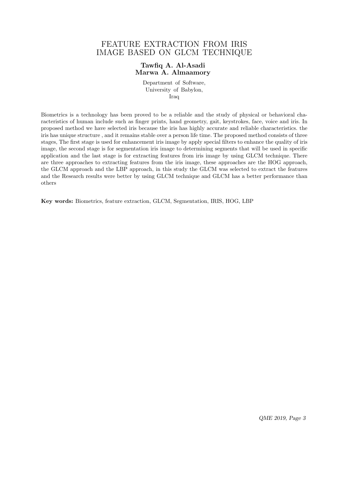### FEATURE EXTRACTION FROM IRIS IMAGE BASED ON GLCM TECHNIQUE

### **Tawfiq A. Al-Asadi Marwa A. Almaamory**

Department of Software, University of Babylon, Iraq

Biometrics is a technology has been proved to be a reliable and the study of physical or behavioral characteristics of human include such as finger prints, hand geometry, gait, keystrokes, face, voice and iris. In proposed method we have selected iris because the iris has highly accurate and reliable characteristics. the iris has unique structure , and it remains stable over a person life time. The proposed method consists of three stages, The first stage is used for enhancement iris image by apply special filters to enhance the quality of iris image, the second stage is for segmentation iris image to determining segments that will be used in specific application and the last stage is for extracting features from iris image by using GLCM technique. There are three approaches to extracting features from the iris image, these approaches are the HOG approach, the GLCM approach and the LBP approach, in this study the GLCM was selected to extract the features and the Research results were better by using GLCM technique and GLCM has a better performance than others

**Key words:** Biometrics, feature extraction, GLCM, Segmentation, IRIS, HOG, LBP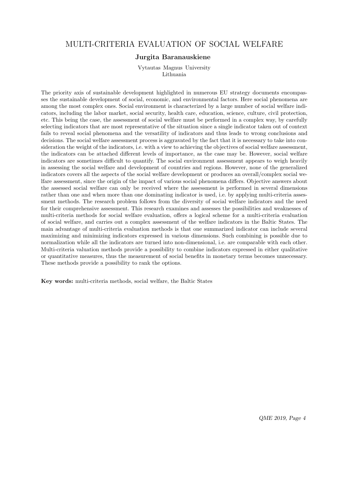### MULTI-CRITERIA EVALUATION OF SOCIAL WELFARE

#### **Jurgita Baranauskiene**

Vytautas Magnus University Lithuania

The priority axis of sustainable development highlighted in numerous EU strategy documents encompasses the sustainable development of social, economic, and environmental factors. Here social phenomena are among the most complex ones. Social environment is characterized by a large number of social welfare indicators, including the labor market, social security, health care, education, science, culture, civil protection, etc. This being the case, the assessment of social welfare must be performed in a complex way, by carefully selecting indicators that are most representative of the situation since a single indicator taken out of context fails to reveal social phenomena and the versatility of indicators and thus leads to wrong conclusions and decisions. The social welfare assessment process is aggravated by the fact that it is necessary to take into consideration the weight of the indicators, i.e. with a view to achieving the objectives of social welfare assessment, the indicators can be attached different levels of importance, as the case may be. However, social welfare indicators are sometimes difficult to quantify. The social environment assessment appears to weigh heavily in assessing the social welfare and development of countries and regions. However, none of the generalized indicators covers all the aspects of the social welfare development or produces an overall/complex social welfare assessment, since the origin of the impact of various social phenomena differs. Objective answers about the assessed social welfare can only be received where the assessment is performed in several dimensions rather than one and when more than one dominating indicator is used, i.e. by applying multi-criteria assessment methods. The research problem follows from the diversity of social welfare indicators and the need for their comprehensive assessment. This research examines and assesses the possibilities and weaknesses of multi-criteria methods for social welfare evaluation, offers a logical scheme for a multi-criteria evaluation of social welfare, and carries out a complex assessment of the welfare indicators in the Baltic States. The main advantage of multi-criteria evaluation methods is that one summarized indicator can include several maximizing and minimizing indicators expressed in various dimensions. Such combining is possible due to normalization while all the indicators are turned into non-dimensional, i.e. are comparable with each other. Multi-criteria valuation methods provide a possibility to combine indicators expressed in either qualitative or quantitative measures, thus the measurement of social benefits in monetary terms becomes unnecessary. These methods provide a possibility to rank the options.

**Key words:** multi-criteria methods, social welfare, the Baltic States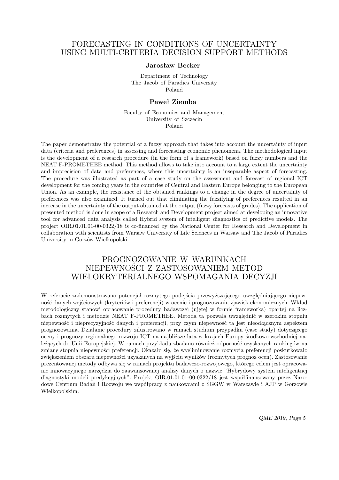### FORECASTING IN CONDITIONS OF UNCERTAINTY USING MULTI-CRITERIA DECISION SUPPORT METHODS

#### **Jarosław Becker**

Department of Technology The Jacob of Paradies University Poland

#### **Paweł Ziemba**

Faculty of Economics and Management University of Szczecin Poland

The paper demonstrates the potential of a fuzzy approach that takes into account the uncertainty of input data (criteria and preferences) in assessing and forecasting economic phenomena. The methodological input is the development of a research procedure (in the form of a framework) based on fuzzy numbers and the NEAT F-PROMETHEE method. This method allows to take into account to a large extent the uncertainty and imprecision of data and preferences, where this uncertainty is an inseparable aspect of forecasting. The procedure was illustrated as part of a case study on the assessment and forecast of regional ICT development for the coming years in the countries of Central and Eastern Europe belonging to the European Union. As an example, the resistance of the obtained rankings to a change in the degree of uncertainty of preferences was also examined. It turned out that eliminating the fuzzifying of preferences resulted in an increase in the uncertainty of the output obtained at the output (fuzzy forecasts of grades). The application of presented method is done in scope of a Research and Development project aimed at developing an innovative tool for advanced data analysis called Hybrid system of intelligent diagnostics of predictive models. The project OIR.01.01.01-00-0322/18 is co-financed by the National Center for Research and Development in collaboration with scientists from Warsaw University of Life Sciences in Warsaw and The Jacob of Paradies University in Gorzów Wielkopolski.

### PROGNOZOWANIE W WARUNKACH NIEPEWNOŚCI Z ZASTOSOWANIEM METOD WIELOKRYTERIALNEGO WSPOMAGANIA DECYZJI

W referacie zademonstrowano potencjał rozmytego podejścia przewyższającego uwzględniającego niepewność danych wejściowych (kryteriów i preferencji) w ocenie i prognozowaniu zjawisk ekonomicznych. Wkład metodologiczny stanowi opracowanie procedury badawczej (ujętej w formie frameworka) opartej na liczbach rozmytych i metodzie NEAT F-PROMETHEE. Metoda ta pozwala uwzględnić w szerokim stopniu niepewność i nieprecyzyjność danych i preferencji, przy czym niepewność ta jest nieodłącznym aspektem prognozowania. Działanie procedury zilustrowano w ramach studium przypadku (case study) dotyczącego oceny i prognozy regionalnego rozwoju ICT na najbliższe lata w krajach Europy środkowo-wschodniej należących do Unii Europejskiej. W ramach przykładu zbadano również odporność uzyskanych rankingów na zmianę stopnia niepewności preferencji. Okazało się, że wyeliminowanie rozmycia preferencji poskutkowało zwiększeniem obszaru niepewności uzyskanych na wyjściu wyników (rozmytych prognoz ocen). Zastosowanie prezentowanej metody odbywa się w ramach projektu badawczo-rozwojowego, którego celem jest opracowanie innowacyjnego narzędzia do zaawansowanej analizy danych o nazwie "Hybrydowy system inteligentnej diagnostyki modeli predykcyjnych". Projekt OIR.01.01.01-00-0322/18 jest współfinansowany przez Narodowe Centrum Badań i Rozwoju we współpracy z naukowcami z SGGW w Warszawie i AJP w Gorzowie Wielkopolskim.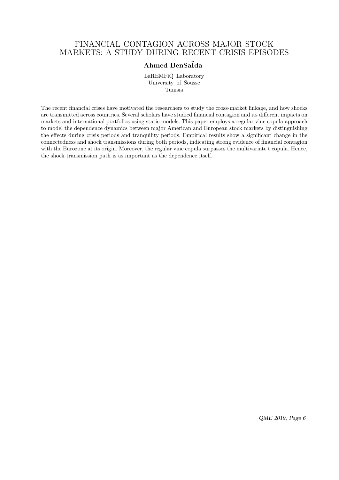### FINANCIAL CONTAGION ACROSS MAJOR STOCK MARKETS: A STUDY DURING RECENT CRISIS EPISODES

### **Ahmed BenSa¨Ida**

LaREMFiQ Laboratory University of Sousse Tunisia

The recent financial crises have motivated the researchers to study the cross-market linkage, and how shocks are transmitted across countries. Several scholars have studied financial contagion and its different impacts on markets and international portfolios using static models. This paper employs a regular vine copula approach to model the dependence dynamics between major American and European stock markets by distinguishing the effects during crisis periods and tranquility periods. Empirical results show a significant change in the connectedness and shock transmissions during both periods, indicating strong evidence of financial contagion with the Eurozone at its origin. Moreover, the regular vine copula surpasses the multivariate t copula. Hence, the shock transmission path is as important as the dependence itself.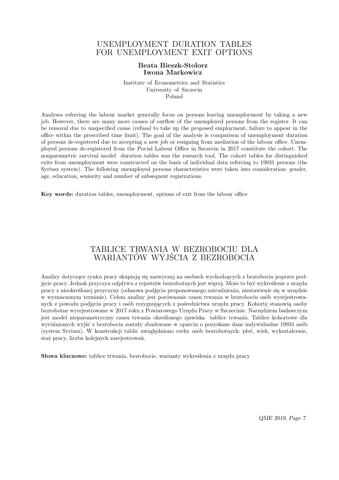### UNEMPLOYMENT DURATION TABLES FOR UNEMPLOYMENT EXIT OPTIONS

#### **Beata Bieszk-Stolorz Iwona Markowicz**

Institute of Econometrics and Statistics University of Szczecin Poland

Analyses referring the labour market generally focus on persons leaving unemployment by taking a new job. However, there are many more causes of outflow of the unemployed persons from the register. It can be removal due to unspecified cause (refusal to take up the proposed employment, failure to appear in the office within the prescribed time limit). The goal of the analysis is comparison of unemployment duration of persons de-registered due to accepting a new job or resigning from mediation of the labour office. Unemployed persons de-registered from the Povial Labour Office in Szczecin in 2017 constitute the cohort. The nonparametric survival model duration tables was the research tool. The cohort tables for distinguished exits from unemployment were constructed on the basis of individual data referring to 19931 persons (the Syriusz system). The following unemployed persons characteristics were taken into consideration: gender, age, education, seniority and number of subsequent registrations.

**Key words:** duration tables, unemployment, options of exit from the labour office

### TABLICE TRWANIA W BEZROBOCIU DLA WARIANTÓW WYJŚCIA Z BEZROBOCIA

Analizy dotyczące rynku pracy skupiają się zazwyczaj na osobach wychodzących z bezrobocia poprzez podjęcie pracy. Jednak przyczyn odpływu z rejestrów bezrobotnych jest więcej. Może to być wykreślenie z urzędu pracy z nieokreślonej przyczyny (odmowa podjęcia proponowanego zatrudnienia, niestawienie się w urzędzie w wyznaczonym terminie). Celem analizy jest porównanie czasu trwania w bezrobociu osób wyrejestrowanych z powodu podjęcia pracy i osób rezygnujących z pośrednictwa urzędu pracy. Kohortę stanowią osoby bezrobotne wyrejestrowane w 2017 roku z Powiatowego Urzędu Pracy w Szczecinie. Narzędziem badawczym jest model nieparametryczny czasu trwania określonego zjawiska tablice trwania. Tablice kohortowe dla wyróżnionych wyjść z bezrobocia zostały zbudowane w oparciu o pozyskane dane indywidualne 19931 osób (system Syriusz). W konstrukcji tablic uwzględniono cechy osób bezrobotnych: płeć, wiek, wykształcenie, staż pracy, liczba kolejnych zarejestrowań.

**Słowa kluczowe:** tablice trwania, bezrobocie, warianty wykreślenia z urzędu pracy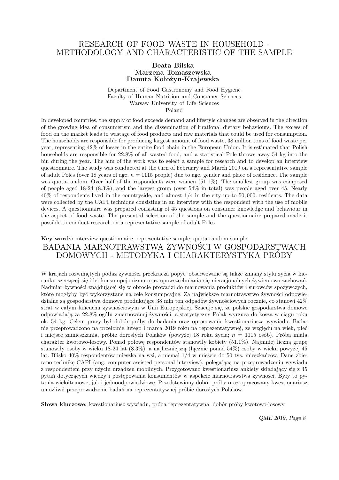### RESEARCH OF FOOD WASTE IN HOUSEHOLD - METHODOLOGY AND CHARACTERISTIC OF THE SAMPLE

#### **Beata Bilska Marzena Tomaszewska Danuta Kołożyn-Krajewska**

Department of Food Gastronomy and Food Hygiene Faculty of Human Nutrition and Consumer Sciences Warsaw University of Life Sciences Poland

In developed countries, the supply of food exceeds demand and lifestyle changes are observed in the direction of the growing idea of consumerism and the dissemination of irrational dietary behaviours. The excess of food on the market leads to wastage of food products and raw materials that could be used for consumption. The households are responsible for producing largest amount of food waste, 38 million tons of food waste per year, representing 42% of losses in the entire food chain in the European Union. It is estimated that Polish households are responsible for 22*.*8% of all wasted food, and a statistical Pole throws away 54 kg into the bin during the year. The aim of the work was to select a sample for research and to develop an interview questionnaire. The study was conducted at the turn of February and March 2019 on a representative sample of adult Poles (over 18 years of age, *n* = 1115 people) due to age, gender and place of residence. The sample was quota-random. Over half of the respondents were women (51*.*1%). The smallest group was composed of people aged 18-24 (8*.*3%), and the largest group (over 54% in total) was people aged over 45. Nearly 40% of respondents lived in the countryside, and almost 1*/*4 in the city up to 50*,* 000. residents. The data were collected by the CAPI technique consisting in an interview with the respondent with the use of mobile devices. A questionnaire was prepared consisting of 45 questions on consumer knowledge and behaviour in the aspect of food waste. The presented selection of the sample and the questionnaire prepared made it possible to conduct research on a representative sample of adult Poles.

### **Key words:** interview questionnaire, representative sample, quota-random sample BADANIA MARNOTRAWSTWA ŻYWNOŚCI W GOSPODARSTWACH DOMOWYCH - METODYKA I CHARAKTERYSTYKA PRÓBY

W krajach rozwiniętych podaż żywności przekracza popyt, obserwowane są także zmiany stylu życia w kierunku szerzącej się idei konsumpcjonizmu oraz upowszechniania się nieracjonalnych żywieniowo zachowań. Nadmiar żywności znajdującej się w obrocie prowadzi do marnowania produktów i surowców spożywczych, które mogłyby być wykorzystane na cele konsumpcyjne. Za największe marnotrawstwo żywności odpowiedzialne są gospodarstwa domowe produkujące 38 mln ton odpadów żywnościowych rocznie, co stanowi 42% strat w całym łańcuchu żywnościowym w Unii Europejskiej. Szacuje się, że polskie gospodarstwa domowe odpowiadają za 22*.*8% ogółu zmarnowanej żywności, a statystyczny Polak wyrzuca do kosza w ciągu roku ok. 54 kg. Celem pracy był dobór próby do badania oraz opracowanie kwestionariusza wywiadu. Badanie przeprowadzono na przełomie lutego i marca 2019 roku na reprezentatywnej, ze względu na wiek, płeć i miejsce zamieszkania, próbie dorosłych Polaków (powyżej 18 roku życia; *n* = 1115 osób). Próba miała charakter kwotowo-losowy. Ponad połowę respondentów stanowiły kobiety (51*.*1%). Najmniej liczną grupę stanowiły osoby w wieku 18-24 lat (8*.*3%), a najliczniejszą (łącznie ponad 54%) osoby w wieku powyżej 45 lat. Blisko 40% respondentów mieszka na wsi, a niemal 1*/*4 w mieście do 50 tys. mieszkańców. Dane zbierano technikę CAPI (ang. computer assisted personal interview), polegającą na przeprowadzeniu wywiadu z respondentem przy użyciu urządzeń mobilnych. Przygotowano kwestionariusz ankiety składający się z 45 pytań dotyczących wiedzy i postępowania konsumentów w aspekcie marnotrawstwa żywności. Były to pytania wieloitemowe, jak i jednoodpowiedziowe. Przedstawiony dobór próby oraz opracowany kwestionariusz umożliwił przeprowadzenie badań na reprezentatywnej próbie dorosłych Polaków.

**Słowa kluczowe:** kwestionariusz wywiadu, próba reprezentatywna, dobór próby kwotowo-losowy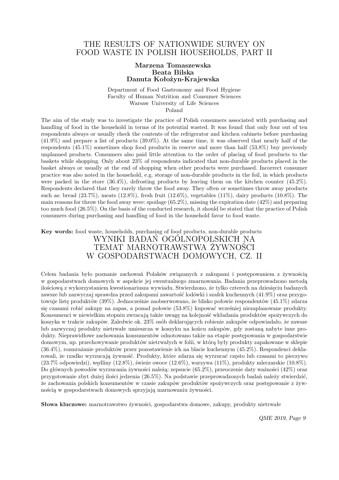### THE RESULTS OF NATIONWIDE SURVEY ON FOOD WASTE IN POLISH HOUSEHOLDS, PART II

#### **Marzena Tomaszewska Beata Bilska Danuta Kołożyn-Krajewska**

Department of Food Gastronomy and Food Hygiene Faculty of Human Nutrition and Consumer Sciences Warsaw University of Life Sciences Poland

The aim of the study was to investigate the practice of Polish consumers associated with purchasing and handling of food in the household in terms of its potential wasted. It was found that only four out of ten respondents always or usually check the contents of the refrigerator and kitchen cabinets before purchasing (41*.*9%) and prepare a list of products (39*.*0%). At the same time, it was observed that nearly half of the respondents (45*.*1%) sometimes shop food products in reserve and more than half (53*.*8%) buy previously unplanned products. Consumers also paid little attention to the order of placing of food products to the baskets while shopping. Only about 23% of respondents indicated that non-durable products placed in the basket always or usually at the end of shopping when other products were purchased. Incorrect consumer practice was also noted in the household, e.g. storage of non-durable products in the foil, in which products were packed in the store (36*.*4%), defrosting products by leaving them on the kitchen counter (45*.*2%). Respondents declared that they rarely throw the food away. They often or sometimes throw away products such as: bread (23*.*7%), meats (12*.*8%), fresh fruit (12*.*6%), vegetables (11%), dairy products (10*.*8%). The main reasons for throw the food away were: spoilage (65*.*2%), missing the expiration date (42%) and preparing too much food (26*.*5%). On the basis of the conducted research, it should be stated that the practice of Polish consumers during purchasing and handling of food in the household favor to food waste.

### **Key words:** food waste, households, purchasing of food products, non-durable products WYNIKI BADAN OGOLNOPOLSKICH NA TEMAT MARNOTRAWSTWA ŻYWNOŚCI W GOSPODARSTWACH DOMOWYCH, CZ. II

Celem badania było poznanie zachowań Polaków związanych z zakupami i postępowaniem z żywnością w gospodarstwach domowych w aspekcie jej ewentualnego zmarnowania. Badania przeprowadzono metodą ilościową z wykorzystaniem kwestionariusza wywiadu. Stwierdzono, że tylko czterech na dziesięciu badanych zawsze lub zazwyczaj sprawdza przed zakupami zawartość lodówki i szafek kuchennych (41*.*9%) oraz przygotowuje listę produktów (39%). Jednocześnie zaobserwowano, że blisko połowie respondentów (45*.*1%) zdarza się czasami robić zakupy na zapas, a ponad połowie (53*.*8%) kupować wcześniej niezaplanowane produkty. Konsumenci w niewielkim stopniu zwracają także uwagę na kolejność wkładania produktów spożywczych do koszyka w trakcie zakupów. Zaledwie ok. 23% osób deklarujących robienie zakupów odpowiadało, że zawsze lub zazwyczaj produkty nietrwałe umieszcza w koszyku na końcu zakupów, gdy zostaną nabyte inne produkty. Nieprawidłowe zachowania konsumentów odnotowano także na etapie postępowania w gospodarstwie domowym, np. przechowywanie produktów nietrwałych w folii, w którą były produkty zapakowane w sklepie (36*.*4%), rozmrażanie produktów przez pozostawienie ich na blacie kuchennym (45*.*2%). Respondenci deklarowali, że rzadko wyrzucają żywność. Produkty, które zdarza się wyrzucać często lub czasami to pieczywo (23*.*7% odpowiedzi), wędliny (12*.*8%), świeże owoce (12*.*6%), warzywa (11%), produkty mleczarskie (10*.*8%). Do głównych powodów wyrzucania żywności należą: zepsucie (65*.*2%), przeoczenie daty ważności (42%) oraz przygotowanie zbyt dużej ilości jedzenia (26*.*5%). Na podstawie przeprowadzonych badań należy stwierdzić, że zachowania polskich konsumentów w czasie zakupów produktów spożywczych oraz postępowanie z żywnością w gospodarstwach domowych sprzyjają marnowaniu żywności.

**Słowa kluczowe:** marnotrawstwo żywności, gospodarstwa domowe, zakupy, produkty nietrwałe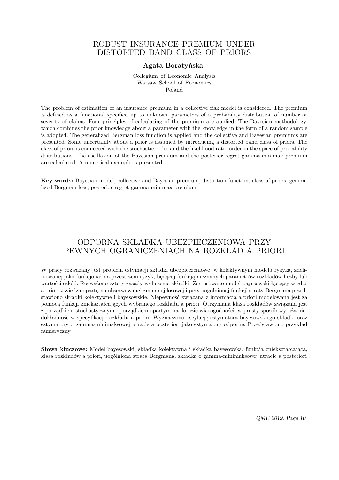### ROBUST INSURANCE PREMIUM UNDER DISTORTED BAND CLASS OF PRIORS

#### **Agata Boratyńska**

Collegium of Economic Analysis Warsaw School of Economics Poland

The problem of estimation of an insurance premium in a collective risk model is considered. The premium is defined as a functional specified up to unknown parameters of a probability distribution of number or severity of claims. Four principles of calculating of the premium are applied. The Bayesian methodology, which combines the prior knowledge about a parameter with the knowledge in the form of a random sample is adopted. The generalized Bergman loss function is applied and the collective and Bayesian premiums are presented. Some uncertainty about a prior is assumed by introducing a distorted band class of priors. The class of priors is connected with the stochastic order and the likelihood ratio order in the space of probability distributions. The oscillation of the Bayesian premium and the posterior regret gamma-minimax premium are calculated. A numerical example is presented.

**Key words:** Bayesian model, collective and Bayesian premium, distortion function, class of priors, generalized Bergman loss, posterior regret gamma-minimax premium

# ODPORNA SKŁADKA UBEZPIECZENIOWA PRZY PEWNYCH OGRANICZENIACH NA ROZKŁAD A PRIORI

W pracy rozważany jest problem estymacji składki ubezpieczeniowej w kolektywnym modelu ryzyka, zdefiniowanej jako funkcjonał na przestrzeni ryzyk, będącej funkcją nieznanych parametrów rozkładów liczby lub wartości szkód. Rozważono cztery zasady wyliczenia składki. Zastosowano model bayesowski łączący wiedzę a priori z wiedzą opartą na obserwowanej zmiennej losowej i przy uogólnionej funkcji straty Bergmana przedstawiono składki kolektywne i bayesowskie. Niepewność związana z informacją a priori modelowana jest za pomocą funkcji zniekształcających wybranego rozkładu a priori. Otrzymana klasa rozkładów związana jest z porządkiem stochastycznym i porządkiem opartym na ilorazie wiarogodności, w prosty sposób wyraża niedokładność w specyfikacji rozkładu a priori. Wyznaczono oscylację estymatora bayesowskiego składki oraz estymatory o gamma-minimaksowej utracie a posteriori jako estymatory odporne. Przedstawiono przykład numeryczny.

**Słowa kluczowe:** Model bayesowski, składka kolektywna i składka bayesowska, funkcja zniekształcająca, klasa rozkładów a priori, uogólniona strata Bergmana, składka o gamma-minimaksowej utracie a posteriori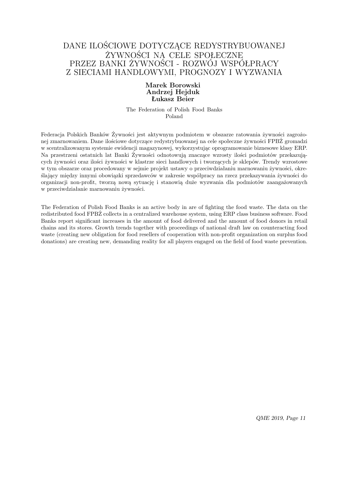## DANE ILOŚCIOWE DOTYCZĄCE REDYSTRYBUOWANEJ ŻYWNOŚCI NA CELE SPOŁECZNE PRZEZ BANKI ŻYWNOŚCI - ROZWÓJ WSPÓŁPRACY Z SIECIAMI HANDLOWYMI, PROGNOZY I WYZWANIA

### **Marek Borowski Andrzej Hejduk Łukasz Beier**

The Federation of Polish Food Banks Poland

Federacja Polskich Banków Żywności jest aktywnym podmiotem w obszarze ratowania żywności zagrożonej zmarnowaniem. Dane ilościowe dotyczące redystrybuowanej na cele społeczne żywności FPBŻ gromadzi w scentralizowanym systemie ewidencji magazynowej, wykorzystując oprogramowanie biznesowe klasy ERP. Na przestrzeni ostatnich lat Banki Żywności odnotowują znaczące wzrosty ilości podmiotów przekazujących żywności oraz ilości żywności w klastrze sieci handlowych i tworzących je sklepów. Trendy wzrostowe w tym obszarze oraz procedowany w sejmie projekt ustawy o przeciwdziałaniu marnowaniu żywności, określający między innymi obowiązki sprzedawców w zakresie współpracy na rzecz przekazywania żywności do organizacji non-profit, tworzą nową sytuację i stanowią duże wyzwania dla podmiotów zaangażowanych w przeciwdziałanie marnowaniu żywności.

The Federation of Polish Food Banks is an active body in are of fighting the food waste. The data on the redistributed food FPBŻ collects in a centralized warehouse system, using ERP class business software. Food Banks report significant increases in the amount of food delivered and the amount of food donors in retail chains and its stores. Growth trends together with proceedings of national draft law on counteracting food waste (creating new obligation for food resellers of cooperation with non-profit organization on surplus food donations) are creating new, demanding reality for all players engaged on the field of food waste prevention.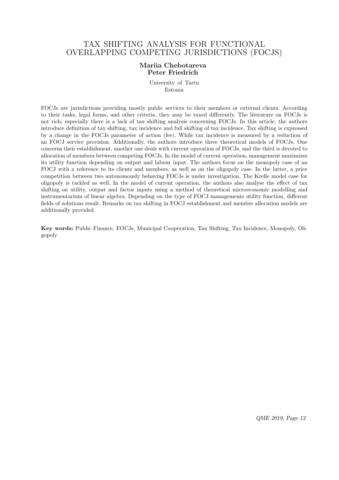### TAX SHIFTING ANALYSIS FOR FUNCTIONAL OVERLAPPING COMPETING JURISDICTIONS (FOCJS)

#### **Mariia Chebotareva Peter Friedrich**

University of Tartu Estonia

FOCJs are jurisdictions providing mostly public services to their members or external clients. According to their tasks, legal forms, and other criteria, they may be taxed differently. The literature on FOCJs is not rich; especially there is a lack of tax shifting analysis concerning FOCJs. In this article, the authors introduce definition of tax shifting, tax incidence and full shifting of tax incidence. Tax shifting is expressed by a change in the FOCJs parameter of action (fee). While tax incidence is measured by a reduction of an FOCJ service provision. Additionally, the authors introduce three theoretical models of FOCJs. One concerns their establishment, another one deals with current operation of FOCJs, and the third is devoted to allocation of members between competing FOCJs. In the model of current operation, management maximizes its utility function depending on output and labour input. The authors focus on the monopoly case of an FOCJ with a reference to its clients and members, as well as on the oligopoly case. In the latter, a price competition between two autonomously behaving FOCJs is under investigation. The Krelle model case for oligopoly is tackled as well. In the model of current operation, the authors also analyse the effect of tax shifting on utility, output and factor inputs using a method of theoretical microeconomic modelling and instrumentarium of linear algebra. Depending on the type of FOCJ managements utility function, different fields of solutions result. Remarks on tax shifting in FOCJ establishment and member allocation models are additionally provided.

**Key words:** Public Finance, FOCJs, Municipal Cooperation, Tax Shifting, Tax Incidence, Monopoly, Oligopoly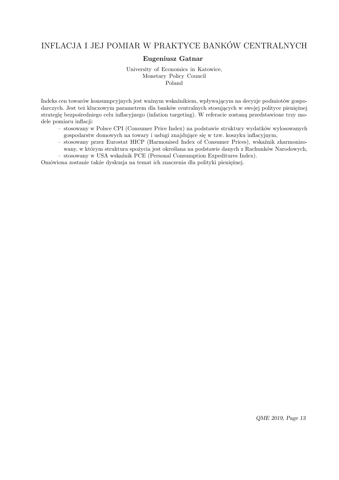# INFLACJA I JEJ POMIAR W PRAKTYCE BANKÓW CENTRALNYCH

### **Eugeniusz Gatnar**

University of Economics in Katowice, Monetary Policy Council Poland

Indeks cen towarów konsumpcyjnych jest ważnym wskaźnikiem, wpływającym na decyzje podmiotów gospodarczych. Jest też kluczowym parametrem dla banków centralnych stosujących w swojej polityce pieniężnej strategię bezpośredniego celu inflacyjnego (infation targeting). W referacie zostaną przedstawione trzy modele pomiaru inflacji:

- stosowany w Polsce CPI (Consumer Price Index) na podstawie struktury wydatków wylosowanych gospodarstw domowych na towary i usługi znajdujące się w tzw. koszyku inflacyjnym,
- stosowany przez Eurostat HICP (Harmonised Index of Consumer Prices), wskaźnik zharmonizowany, w którym struktura spożycia jest określana na podstawie danych z Rachunków Narodowych,
- stosowany w USA wskaźnik PCE (Personal Consumption Expeditures Index).

Omówiona zostanie także dyskusja na temat ich znaczenia dla polityki pieniężnej.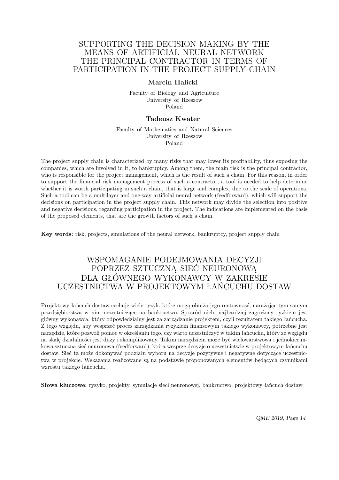### SUPPORTING THE DECISION MAKING BY THE MEANS OF ARTIFICIAL NEURAL NETWORK THE PRINCIPAL CONTRACTOR IN TERMS OF PARTICIPATION IN THE PROJECT SUPPLY CHAIN

#### **Marcin Halicki**

Faculty of Biology and Agriculture University of Rzeszow Poland

#### **Tadeusz Kwater**

Faculty of Mathematics and Natural Sciences University of Rzeszow Poland

The project supply chain is characterized by many risks that may lower its profitability, thus exposing the companies, which are involved in it, to bankruptcy. Among them, the main risk is the principal contractor, who is responsible for the project management, which is the result of such a chain. For this reason, in order to support the financial risk management process of such a contractor, a tool is needed to help determine whether it is worth participating in such a chain, that is large and complex, due to the scale of operations. Such a tool can be a multilayer and one-way artificial neural network (feedforward), which will support the decisions on participation in the project supply chain. This network may divide the selection into positive and negative decisions, regarding participation in the project. The indications are implemented on the basis of the proposed elements, that are the growth factors of such a chain.

**Key words:** risk, projects, simulations of the neural network, bankruptcy, project supply chain

## WSPOMAGANIE PODEJMOWANIA DECYZJI POPRZEZ SZTUCZNĄ SIEĆ NEURONOWĄ DLA GŁÓWNEGO WYKONAWCY W ZAKRESIE UCZESTNICTWA W PROJEKTOWYM ŁAŃCUCHU DOSTAW

Projektowy łańcuch dostaw cechuje wiele ryzyk, które mogą obniża jego rentowność, narażając tym samym przedsiębiorstwa w nim uczestniczące na bankructwo. Spośród nich, najbardziej zagrożony ryzkiem jest główny wykonawca, który odpowiedzialny jest za zarządzanie projektem, czyli rezultatem takiego łańcucha. Z tego względu, aby wesprzeć proces zarządzania ryzykiem finansowym takiego wykonawcy, potrzebne jest narzędzie, które pozwoli pomoc w określaniu tego, czy warto uczestniczyć w takim łańcuchu, który ze względu na skalę działalności jest duży i skomplikowany. Takim narzędziem może być wielowarstwowa i jednokierunkowa sztuczna sieć neuronowa (feedforward), która wesprze decyzje o uczestnictwie w projektowym łańcuchu dostaw. Sieć ta może dokonywać podziału wyboru na decyzje pozytywne i negatywne dotyczące uczestnictwa w projekcie. Wskazania realizowane są na podstawie proponowanych elementów będących czynnikami wzrostu takiego łańcucha.

**Słowa kluczowe:** ryzyko, projekty, symulacje sieci neuronowej, bankructwo, projektowy łańcuch dostaw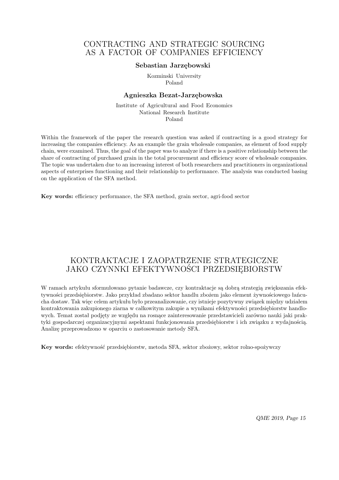### CONTRACTING AND STRATEGIC SOURCING AS A FACTOR OF COMPANIES EFFICIENCY

#### **Sebastian Jarzębowski**

Kozminski University Poland

#### **Agnieszka Bezat-Jarzębowska**

Institute of Agricultural and Food Economics National Research Institute Poland

Within the framework of the paper the research question was asked if contracting is a good strategy for increasing the companies efficiency. As an example the grain wholesale companies, as element of food supply chain, were examined. Thus, the goal of the paper was to analyze if there is a positive relationship between the share of contracting of purchased grain in the total procurement and efficiency score of wholesale companies. The topic was undertaken due to an increasing interest of both researchers and practitioners in organizational aspects of enterprises functioning and their relationship to performance. The analysis was conducted basing on the application of the SFA method.

**Key words:** efficiency performance, the SFA method, grain sector, agri-food sector

## KONTRAKTACJE I ZAOPATRZENIE STRATEGICZNE JAKO CZYNNKI EFEKTYWNOŚCI PRZEDSIĘBIORSTW

W ramach artykułu sformułowano pytanie badawcze, czy kontraktacje są dobrą strategią zwiększania efektywności przedsiębiorstw. Jako przykład zbadano sektor handlu zbożem jako element żywnościowego łańcucha dostaw. Tak więc celem artykułu było przeanalizowanie, czy istnieje pozytywny związek między udziałem kontraktowania zakupionego ziarna w całkowitym zakupie a wynikami efektywności przedsiębiorstw handlowych. Temat został podjęty ze względu na rosnące zainteresowanie przedstawicieli zarówno nauki jaki praktyki gospodarczej organizacyjnymi aspektami funkcjonowania przedsiębiorstw i ich związku z wydajnością. Analizę przeprowadzono w oparciu o zastosowanie metody SFA.

**Key words:** efektywność przedsiębiorstw, metoda SFA, sektor zbożowy, sektor rolno-spożywczy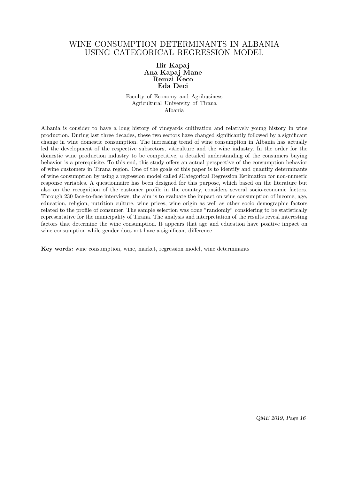### WINE CONSUMPTION DETERMINANTS IN ALBANIA USING CATEGORICAL REGRESSION MODEL

### **Ilir Kapaj Ana Kapaj Mane Remzi Keco Eda Deci**

Faculty of Economy and Agribusiness Agricultural University of Tirana Albania

Albania is consider to have a long history of vineyards cultivation and relatively young history in wine production. During last three decades, these two sectors have changed significantly followed by a significant change in wine domestic consumption. The increasing trend of wine consumption in Albania has actually led the development of the respective subsectors, viticulture and the wine industry. In the order for the domestic wine production industry to be competitive, a detailed understanding of the consumers buying behavior is a prerequisite. To this end, this study offers an actual perspective of the consumption behavior of wine customers in Tirana region. One of the goals of this paper is to identify and quantify determinants of wine consumption by using a regression model called śCategorical Regression Estimation for non-numeric response variables. A questionnaire has been designed for this purpose, which based on the literature but also on the recognition of the customer profile in the country, considers several socio-economic factors. Through 230 face-to-face interviews, the aim is to evaluate the impact on wine consumption of income, age, education, religion, nutrition culture, wine prices, wine origin as well as other socio demographic factors related to the profile of consumer. The sample selection was done "randomly" considering to be statistically representative for the municipality of Tirana. The analysis and interpretation of the results reveal interesting factors that determine the wine consumption. It appears that age and education have positive impact on wine consumption while gender does not have a significant difference.

**Key words:** wine consumption, wine, market, regression model, wine determinants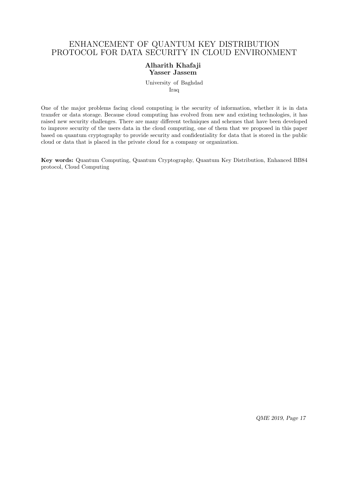# ENHANCEMENT OF QUANTUM KEY DISTRIBUTION PROTOCOL FOR DATA SECURITY IN CLOUD ENVIRONMENT

### **Alharith Khafaji Yasser Jassem**

University of Baghdad Iraq

One of the major problems facing cloud computing is the security of information, whether it is in data transfer or data storage. Because cloud computing has evolved from new and existing technologies, it has raised new security challenges. There are many different techniques and schemes that have been developed to improve security of the users data in the cloud computing, one of them that we proposed in this paper based on quantum cryptography to provide security and confidentiality for data that is stored in the public cloud or data that is placed in the private cloud for a company or organization.

**Key words:** Quantum Computing, Quantum Cryptography, Quantum Key Distribution, Enhanced BB84 protocol, Cloud Computing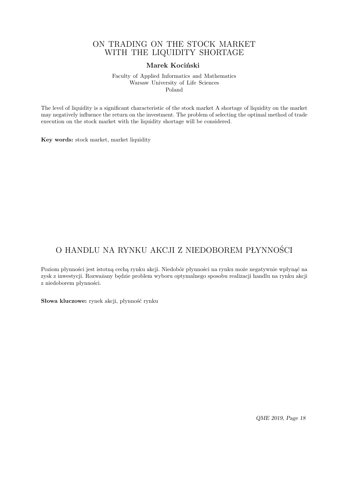### ON TRADING ON THE STOCK MARKET WITH THE LIQUIDITY SHORTAGE

### **Marek Kociński**

Faculty of Applied Informatics and Mathematics Warsaw University of Life Sciences Poland

The level of liquidity is a significant characteristic of the stock market A shortage of liquidity on the market may negatively influence the return on the investment. The problem of selecting the optimal method of trade execution on the stock market with the liquidity shortage will be considered.

**Key words:** stock market, market liquidity

# O HANDLU NA RYNKU AKCJI Z NIEDOBOREM PŁYNNOŚCI

Poziom płynności jest istotną cechą rynku akcji. Niedobór płynności na rynku może negatywnie wpłynąć na zysk z inwestycji. Rozważany będzie problem wyboru optymalnego sposobu realizacji handlu na rynku akcji z niedoborem płynności.

**Słowa kluczowe:** rynek akcji, płynność rynku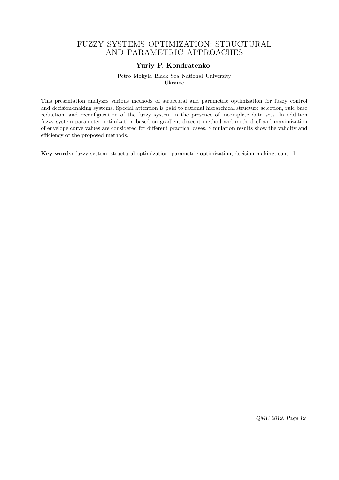### FUZZY SYSTEMS OPTIMIZATION: STRUCTURAL AND PARAMETRIC APPROACHES

### **Yuriy P. Kondratenko**

Petro Mohyla Black Sea National University Ukraine

This presentation analyzes various methods of structural and parametric optimization for fuzzy control and decision-making systems. Special attention is paid to rational hierarchical structure selection, rule base reduction, and reconfiguration of the fuzzy system in the presence of incomplete data sets. In addition fuzzy system parameter optimization based on gradient descent method and method of and maximization of envelope curve values are considered for different practical cases. Simulation results show the validity and efficiency of the proposed methods.

**Key words:** fuzzy system, structural optimization, parametric optimization, decision-making, control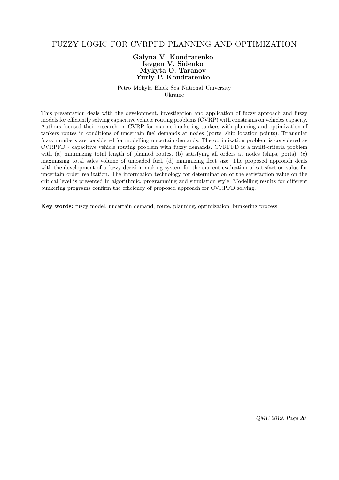### FUZZY LOGIC FOR CVRPFD PLANNING AND OPTIMIZATION

### **Galyna V. Kondratenko Ievgen V. Sidenko Mykyta O. Taranov Yuriy P. Kondratenko**

Petro Mohyla Black Sea National University Ukraine

This presentation deals with the development, investigation and application of fuzzy approach and fuzzy models for efficiently solving capacitive vehicle routing problems (CVRP) with constrains on vehicles capacity. Authors focused their research on CVRP for marine bunkering tankers with planning and optimization of tankers routes in conditions of uncertain fuel demands at nodes (ports, ship location points). Triangular fuzzy numbers are considered for modelling uncertain demands. The optimization problem is considered as CVRPFD - capacitive vehicle routing problem with fuzzy demands. CVRPFD is a multi-criteria problem with (a) minimizing total length of planned routes, (b) satisfying all orders at nodes (ships, ports), (c) maximizing total sales volume of unloaded fuel, (d) minimizing fleet size. The proposed approach deals with the development of a fuzzy decision-making system for the current evaluation of satisfaction value for uncertain order realization. The information technology for determination of the satisfaction value on the critical level is presented in algorithmic, programming and simulation style. Modelling results for different bunkering programs confirm the efficiency of proposed approach for CVRPFD solving.

**Key words:** fuzzy model, uncertain demand, route, planning, optimization, bunkering process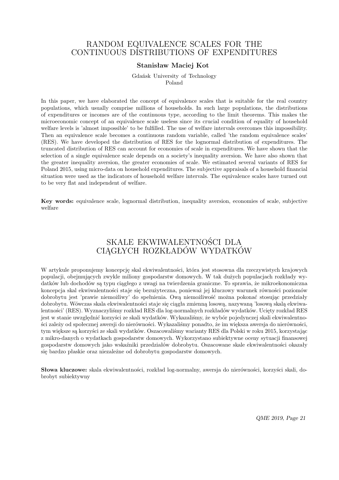### RANDOM EQUIVALENCE SCALES FOR THE CONTINUOUS DISTRIBUTIONS OF EXPENDITURES

#### **Stanisław Maciej Kot**

Gdańsk University of Technology Poland

In this paper, we have elaborated the concept of equivalence scales that is suitable for the real country populations, which usually comprise millions of households. In such large populations, the distributions of expenditures or incomes are of the continuous type, according to the limit theorems. This makes the microeconomic concept of an equivalence scale useless since its crucial condition of equality of household welfare levels is 'almost impossible' to be fulfilled. The use of welfare intervals overcomes this impossibility. Then an equivalence scale becomes a continuous random variable, called 'the random equivalence scales' (RES). We have developed the distribution of RES for the lognormal distribution of expenditures. The truncated distribution of RES can account for economies of scale in expenditures. We have shown that the selection of a single equivalence scale depends on a society's inequality aversion. We have also shown that the greater inequality aversion, the greater economies of scale. We estimated several variants of RES for Poland 2015, using micro-data on household expenditures. The subjective appraisals of a household financial situation were used as the indicators of household welfare intervals. The equivalence scales have turned out to be very flat and independent of welfare.

**Key words:** equivalence scale, lognormal distribution, inequality aversion, economies of scale, subjective welfare

# SKALE EKWIWALENTNOŚCI DLA CIĄGŁYCH ROZKŁADÓW WYDATKÓW

W artykule proponujemy koncepcję skal ekwiwalentności, która jest stosowna dla rzeczywistych krajowych populacji, obejmujących zwykle miliony gospodarstw domowych. W tak dużych populacjach rozkłady wydatków lub dochodów są typu ciągłego z uwagi na twierdzenia graniczne. To sprawia, że mikroekonomiczna koncepcja skal ekwiwalentności staje się bezużyteczna, ponieważ jej kluczowy warunek równości poziomów dobrobytu jest 'prawie niemożliwy' do spełnienia. Ową niemożliwość można pokonać stosując przedziały dobrobytu. Wówczas skala ekwiwalentności staje się ciągła zmienną losową, nazywaną 'losową skalą ekwiwalentności' (RES). Wyznaczyliśmy rozkład RES dla log-normalnych rozkładów wydatków. Ucięty rozkład RES jest w stanie uwzględnić korzyści ze skali wydatków. Wykazaliśmy, że wybór pojedynczej skali ekwiwalentności zależy od społecznej awersji do nierówności. Wykazaliśmy ponadto, że im większa awersja do nierówności, tym większe są korzyści ze skali wydatków. Oszacowaliśmy warianty RES dla Polski w roku 2015, korzystając z mikro-danych o wydatkach gospodarstw domowych. Wykorzystano subiektywne oceny sytuacji finansowej gospodarstw domowych jako wskaźniki przedziałów dobrobytu. Oszacowane skale ekwiwalentności okazały się bardzo płaskie oraz niezależne od dobrobytu gospodarstw domowych.

**Słowa kluczowe:** skala ekwiwalentności, rozkład log-normalny, awersja do nierówności, korzyści skali, dobrobyt subiektywny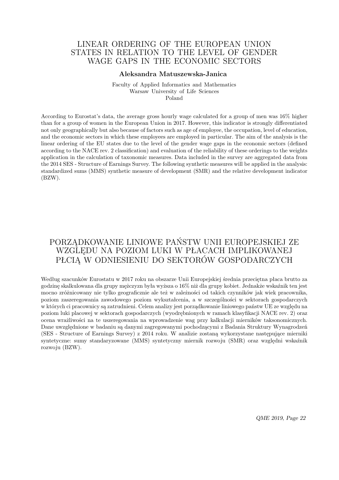### LINEAR ORDERING OF THE EUROPEAN UNION STATES IN RELATION TO THE LEVEL OF GENDER WAGE GAPS IN THE ECONOMIC SECTORS

#### **Aleksandra Matuszewska-Janica**

Faculty of Applied Informatics and Mathematics Warsaw University of Life Sciences Poland

According to Eurostat's data, the average gross hourly wage calculated for a group of men was 16% higher than for a group of women in the European Union in 2017. However, this indicator is strongly differentiated not only geographically but also because of factors such as age of employee, the occupation, level of education, and the economic sectors in which these employees are employed in particular. The aim of the analysis is the linear ordering of the EU states due to the level of the gender wage gaps in the economic sectors (defined according to the NACE rev. 2 classification) and evaluation of the reliability of these orderings to the weights application in the calculation of taxonomic measures. Data included in the survey are aggregated data from the 2014 SES - Structure of Earnings Survey. The following synthetic measures will be applied in the analysis: standardized sums (MMS) synthetic measure of development (SMR) and the relative development indicator (BZW).

# PORZĄDKOWANIE LINIOWE PAŃSTW UNII EUROPEJSKIEJ ZE WZGLĘDU NA POZIOM LUKI W PŁACACH IMPLIKOWANEJ PŁCIĄ W ODNIESIENIU DO SEKTORÓW GOSPODARCZYCH

Według szacunków Eurostatu w 2017 roku na obszarze Unii Europejskiej średnia przeciętna płaca brutto za godzinę skalkulowana dla grupy mężczyzn była wyższa o 16% niż dla grupy kobiet. Jednakże wskaźnik ten jest mocno zróżnicowany nie tylko geograficznie ale też w zależności od takich czynników jak wiek pracownika, poziom zaszeregowania zawodowego poziom wykształcenia, a w szczególności w sektorach gospodarczych w których ci pracownicy są zatrudnieni. Celem analizy jest porządkowanie liniowego państw UE ze względu na poziom luki placowej w sektorach gospodarczych (wyodrębnionych w ramach klasyfikacji NACE rev. 2) oraz ocena wrażliwości na te uszeregowania na wprowadzenie wag przy kalkulacji mierników taksonomicznych. Dane uwzględnione w badaniu są danymi zagregowanymi pochodzącymi z Badania Struktury Wynagrodzeń (SES - Structure of Earnings Survey) z 2014 roku. W analizie zostaną wykorzystane następujące mierniki syntetyczne: sumy standaryzowane (MMS) syntetyczny miernik rozwoju (SMR) oraz względni wskaźnik rozwoju (BZW).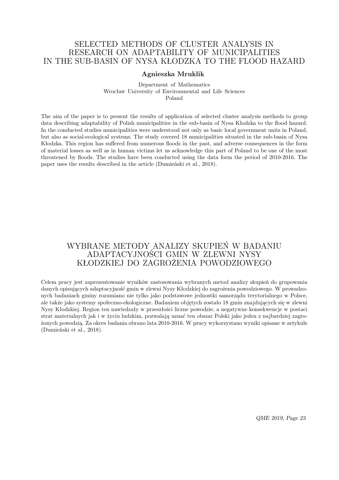### SELECTED METHODS OF CLUSTER ANALYSIS IN RESEARCH ON ADAPTABILITY OF MUNICIPALITIES IN THE SUB-BASIN OF NYSA KŁODZKA TO THE FLOOD HAZARD

### **Agnieszka Mruklik**

#### Department of Mathematics Wrocław University of Environmental and Life Sciences Poland

The aim of the paper is to present the results of application of selected cluster analysis methods to group data describing adaptability of Polish municipalities in the sub-basin of Nysa Kłodzka to the flood hazard. In the conducted studies municipalities were understood not only as basic local government units in Poland, but also as social-ecological systems. The study covered 18 municipalities situated in the sub-basin of Nysa Kłodzka. This region has suffered from numerous floods in the past, and adverse consequences in the form of material losses as well as in human victims let us acknowledge this part of Poland to be one of the most threatened by floods. The studies have been conducted using the data form the period of 2010-2016. The paper uses the results described in the article (Dumieński et al., 2018).

# WYBRANE METODY ANALIZY SKUPIEŃ W BADANIU ADAPTACYJNOŚCI GMIN W ZLEWNI NYSY KŁODZKIEJ DO ZAGROŻENIA POWODZIOWEGO

Celem pracy jest zaprezentowanie wyników zastosowania wybranych metod analizy skupień do grupowania danych opisujących adaptacyjność gmin w zlewni Nysy Kłodzkiej do zagrożenia powodziowego. W prowadzonych badaniach gminy rozumiano nie tylko jako podstawowe jednostki samorządu terytorialnego w Polsce, ale także jako systemy społeczno-ekologiczne. Badaniem objętych zostało 18 gmin znajdujących się w zlewni Nysy Kłodzkiej. Region ten nawiedzały w przeszłości liczne powodzie, a negatywne konsekwencje w postaci strat materialnych jak i w życiu ludzkim, pozwalają uznać ten obszar Polski jako jeden z najbardziej zagrożonych powodzią. Za okres badania obrano lata 2010-2016. W pracy wykorzystano wyniki opisane w artykule (Dumieński et al., 2018).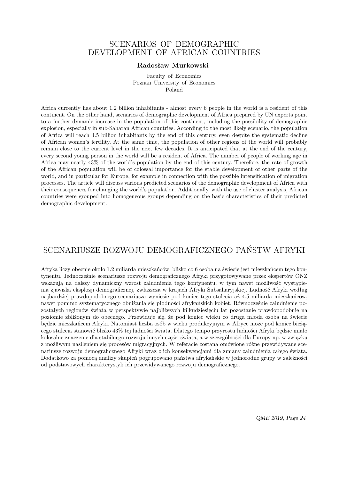### SCENARIOS OF DEMOGRAPHIC DEVELOPMENT OF AFRICAN COUNTRIES

#### **Radosław Murkowski**

Faculty of Economics Poznan University of Economics Poland

Africa currently has about 1*.*2 billion inhabitants - almost every 6 people in the world is a resident of this continent. On the other hand, scenarios of demographic development of Africa prepared by UN experts point to a further dynamic increase in the population of this continent, including the possibility of demographic explosion, especially in sub-Saharan African countries. According to the most likely scenario, the population of Africa will reach 4*.*5 billion inhabitants by the end of this century, even despite the systematic decline of African women's fertility. At the same time, the population of other regions of the world will probably remain close to the current level in the next few decades. It is anticipated that at the end of the century, every second young person in the world will be a resident of Africa. The number of people of working age in Africa may nearly 43% of the world's population by the end of this century. Therefore, the rate of growth of the African population will be of colossal importance for the stable development of other parts of the world, and in particular for Europe, for example in connection with the possible intensification of migration processes. The article will discuss various predicted scenarios of the demographic development of Africa with their consequences for changing the world's population. Additionally, with the use of cluster analysis, African countries were grouped into homogeneous groups depending on the basic characteristics of their predicted demographic development.

# SCENARIUSZE ROZWOJU DEMOGRAFICZNEGO PAŃSTW AFRYKI

Afryka liczy obecnie około 1*.*2 miliarda mieszkańców blisko co 6 osoba na świecie jest mieszkańcem tego kontynentu. Jednocześnie scenariusze rozwoju demograficznego Afryki przygotowywane przez ekspertów ONZ wskazują na dalszy dynamiczny wzrost zaludnienia tego kontynentu, w tym nawet możliwość wystąpienia zjawiska eksplozji demograficznej, zwłaszcza w krajach Afryki Subsaharyjskiej. Ludność Afryki według najbardziej prawdopodobnego scenariusza wyniesie pod koniec tego stulecia aż 4*.*5 miliarda mieszkańców, nawet pomimo systematycznego obniżania się płodności afrykańskich kobiet. Równocześnie zaludnienie pozostałych regionów świata w perspektywie najbliższych kilkudziesięciu lat pozostanie prawdopodobnie na poziomie zbliżonym do obecnego. Przewiduje się, że pod koniec wieku co druga młoda osoba na świecie będzie mieszkańcem Afryki. Natomiast liczba osób w wieku produkcyjnym w Afryce może pod koniec bieżącego stulecia stanowić blisko 43% tej ludności świata. Dlatego tempo przyrostu ludności Afryki będzie miało kolosalne znaczenie dla stabilnego rozwoju innych części świata, a w szczególności dla Europy np. w związku z możliwym nasileniem się procesów migracyjnych. W referacie zostaną omówione różne przewidywane scenariusze rozwoju demograficznego Afryki wraz z ich konsekwencjami dla zmiany zaludnienia całego świata. Dodatkowo za pomocą analizy skupień pogrupowano państwa afrykańskie w jednorodne grupy w zależności od podstawowych charakterystyk ich przewidywanego rozwoju demograficznego.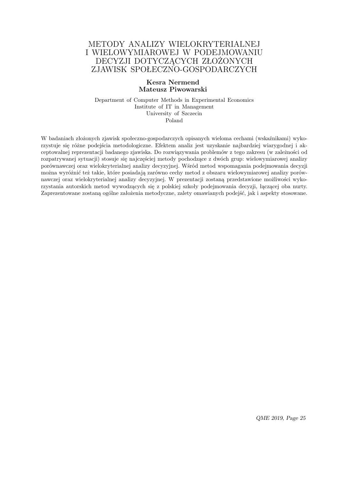### METODY ANALIZY WIELOKRYTERIALNEJ I WIELOWYMIAROWEJ W PODEJMOWANIU DECYZJI DOTYCZĄCYCH ZŁOŻONYCH ZJAWISK SPOŁECZNO-GOSPODARCZYCH

#### **Kesra Nermend Mateusz Piwowarski**

Department of Computer Methods in Experimental Economics Institute of IT in Management University of Szczecin Poland

W badaniach złożonych zjawisk społeczno-gospodarczych opisanych wieloma cechami (wskaźnikami) wykorzystuje się różne podejścia metodologiczne. Efektem analiz jest uzyskanie najbardziej wiarygodnej i akceptowalnej reprezentacji badanego zjawiska. Do rozwiązywania problemów z tego zakresu (w zależności od rozpatrywanej sytuacji) stosuje się najczęściej metody pochodzące z dwóch grup: wielowymiarowej analizy porównawczej oraz wielokryterialnej analizy decyzyjnej. Wśród metod wspomagania podejmowania decyzji można wyróżnić też takie, które posiadają zarówno cechy metod z obszaru wielowymiarowej analizy porównawczej oraz wielokryterialnej analizy decyzyjnej. W prezentacji zostaną przedstawione możliwości wykorzystania autorskich metod wywodzących się z polskiej szkoły podejmowania decyzji, łączącej oba nurty. Zaprezentowane zostaną ogólne założenia metodyczne, zalety omawianych podejść, jak i aspekty stosowane.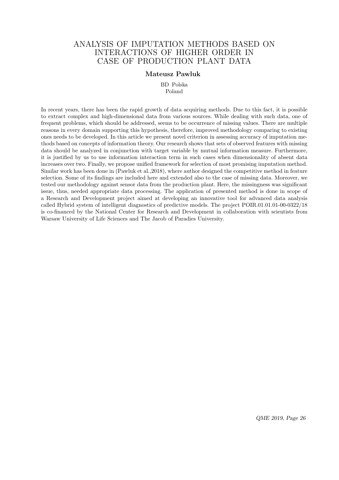### ANALYSIS OF IMPUTATION METHODS BASED ON INTERACTIONS OF HIGHER ORDER IN CASE OF PRODUCTION PLANT DATA

### **Mateusz Pawluk**

BD Polska Poland

In recent years, there has been the rapid growth of data acquiring methods. Due to this fact, it is possible to extract complex and high-dimensional data from various sources. While dealing with such data, one of frequent problems, which should be addressed, seems to be occurrence of missing values. There are multiple reasons in every domain supporting this hypothesis, therefore, improved methodology comparing to existing ones needs to be developed. In this article we present novel criterion in assessing accuracy of imputation methods based on concepts of information theory. Our research shows that sets of observed features with missing data should be analyzed in conjunction with target variable by mutual information measure. Furthermore, it is justified by us to use information interaction term in such cases when dimensionality of absent data increases over two. Finally, we propose unified framework for selection of most promising imputation method. Similar work has been done in (Pawluk et al.,2018), where author designed the competitive method in feature selection. Some of its findings are included here and extended also to the case of missing data. Moreover, we tested our methodology against sensor data from the production plant. Here, the missingness was significant issue, thus, needed appropriate data processing. The application of presented method is done in scope of a Research and Development project aimed at developing an innovative tool for advanced data analysis called Hybrid system of intelligent diagnostics of predictive models. The project POIR.01.01.01-00-0322/18 is co-financed by the National Center for Research and Development in collaboration with scientists from Warsaw University of Life Sciences and The Jacob of Paradies University.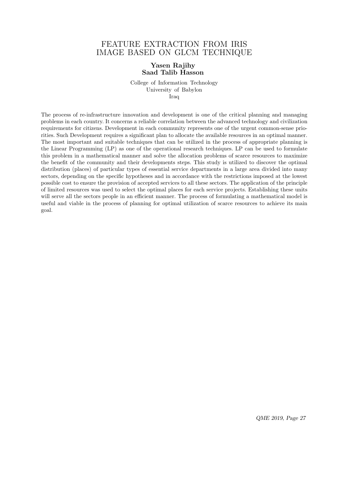### FEATURE EXTRACTION FROM IRIS IMAGE BASED ON GLCM TECHNIQUE

### **Yasen Rajihy Saad Talib Hasson**

College of Information Technology University of Babylon Iraq

The process of re-infrastructure innovation and development is one of the critical planning and managing problems in each country. It concerns a reliable correlation between the advanced technology and civilization requirements for citizens. Development in each community represents one of the urgent common-sense priorities. Such Development requires a significant plan to allocate the available resources in an optimal manner. The most important and suitable techniques that can be utilized in the process of appropriate planning is the Linear Programming (LP) as one of the operational research techniques. LP can be used to formulate this problem in a mathematical manner and solve the allocation problems of scarce resources to maximize the benefit of the community and their developments steps. This study is utilized to discover the optimal distribution (places) of particular types of essential service departments in a large area divided into many sectors, depending on the specific hypotheses and in accordance with the restrictions imposed at the lowest possible cost to ensure the provision of accepted services to all these sectors. The application of the principle of limited resources was used to select the optimal places for each service projects. Establishing these units will serve all the sectors people in an efficient manner. The process of formulating a mathematical model is useful and viable in the process of planning for optimal utilization of scarce resources to achieve its main goal.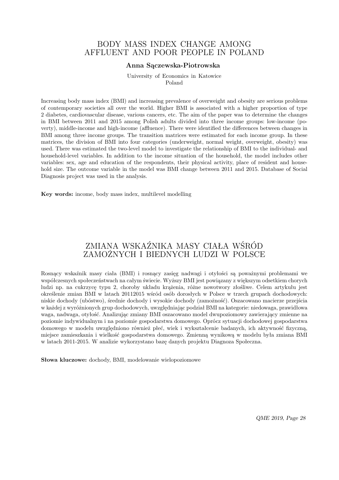### BODY MASS INDEX CHANGE AMONG AFFLUENT AND POOR PEOPLE IN POLAND

#### **Anna Sączewska-Piotrowska**

University of Economics in Katowice Poland

Increasing body mass index (BMI) and increasing prevalence of overweight and obesity are serious problems of contemporary societies all over the world. Higher BMI is associated with a higher proportion of type 2 diabetes, cardiovascular disease, various cancers, etc. The aim of the paper was to determine the changes in BMI between 2011 and 2015 among Polish adults divided into three income groups: low-income (poverty), middle-income and high-income (affluence). There were identified the differences between changes in BMI among three income groups. The transition matrices were estimated for each income group. In these matrices, the division of BMI into four categories (underweight, normal weight, overweight, obesity) was used. There was estimated the two-level model to investigate the relationship of BMI to the individual- and household-level variables. In addition to the income situation of the household, the model includes other variables: sex, age and education of the respondents, their physical activity, place of resident and household size. The outcome variable in the model was BMI change between 2011 and 2015. Database of Social Diagnosis project was used in the analysis.

**Key words:** income, body mass index, multilevel modelling

# ZMIANA WSKAŹNIKA MASY CIAŁA WŚRÓD ZAMOŻNYCH I BIEDNYCH LUDZI W POLSCE

Rosnący wskaźnik masy ciała (BMI) i rosnący zasięg nadwagi i otyłości są poważnymi problemami we współczesnych społeczeństwach na całym świecie. Wyższy BMI jest powiązany z większym odsetkiem chorych ludzi np. na cukrzycę typu 2, choroby układu krążenia, różne nowotwory złośliwe. Celem artykułu jest określenie zmian BMI w latach 20112015 wśród osób dorosłych w Polsce w trzech grupach dochodowych: niskie dochody (ubóstwo), średnie dochody i wysokie dochody (zamożność). Oszacowano macierze przejścia w każdej z wyróżnionych grup dochodowych, uwzględniając podział BMI na kategorie: niedowaga, prawidłowa waga, nadwaga, otyłość. Analizując zmiany BMI oszacowano model dwupoziomowy zawierający zmienne na poziomie indywidualnym i na poziomie gospodarstwa domowego. Oprócz sytuacji dochodowej gospodarstwa domowego w modelu uwzględniono również płeć, wiek i wykształcenie badanych, ich aktywność fizyczną, miejsce zamieszkania i wielkość gospodarstwa domowego. Zmienną wynikową w modelu była zmiana BMI w latach 2011-2015. W analizie wykorzystano bazę danych projektu Diagnoza Społeczna.

**Słowa kluczowe:** dochody, BMI, modelowanie wielopoziomowe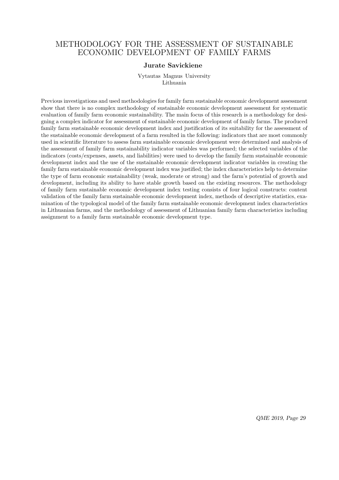### METHODOLOGY FOR THE ASSESSMENT OF SUSTAINABLE ECONOMIC DEVELOPMENT OF FAMILY FARMS

#### **Jurate Savickiene**

Vytautas Magnus University Lithuania

Previous investigations and used methodologies for family farm sustainable economic development assessment show that there is no complex methodology of sustainable economic development assessment for systematic evaluation of family farm economic sustainability. The main focus of this research is a methodology for designing a complex indicator for assessment of sustainable economic development of family farms. The produced family farm sustainable economic development index and justification of its suitability for the assessment of the sustainable economic development of a farm resulted in the following: indicators that are most commonly used in scientific literature to assess farm sustainable economic development were determined and analysis of the assessment of family farm sustainability indicator variables was performed; the selected variables of the indicators (costs/expenses, assets, and liabilities) were used to develop the family farm sustainable economic development index and the use of the sustainable economic development indicator variables in creating the family farm sustainable economic development index was justified; the index characteristics help to determine the type of farm economic sustainability (weak, moderate or strong) and the farm's potential of growth and development, including its ability to have stable growth based on the existing resources. The methodology of family farm sustainable economic development index testing consists of four logical constructs: content validation of the family farm sustainable economic development index, methods of descriptive statistics, examination of the typological model of the family farm sustainable economic development index characteristics in Lithuanian farms, and the methodology of assessment of Lithuanian family farm characteristics including assignment to a family farm sustainable economic development type.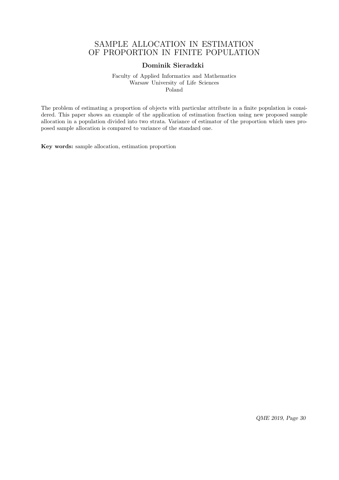### SAMPLE ALLOCATION IN ESTIMATION OF PROPORTION IN FINITE POPULATION

### **Dominik Sieradzki**

Faculty of Applied Informatics and Mathematics Warsaw University of Life Sciences Poland

The problem of estimating a proportion of objects with particular attribute in a finite population is considered. This paper shows an example of the application of estimation fraction using new proposed sample allocation in a population divided into two strata. Variance of estimator of the proportion which uses proposed sample allocation is compared to variance of the standard one.

**Key words:** sample allocation, estimation proportion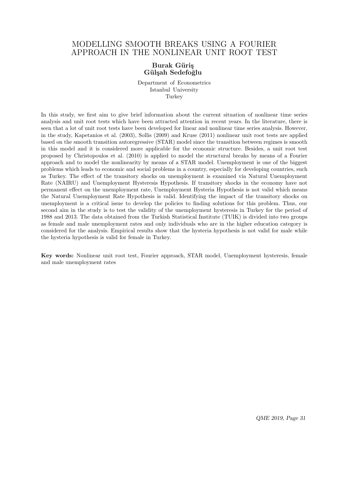### MODELLING SMOOTH BREAKS USING A FOURIER APPROACH IN THE NONLINEAR UNIT ROOT TEST

### **Burak Güris G¨ul¸sah Sedefo˘glu**

Department of Econometrics Istanbul University **Turkey** 

In this study, we first aim to give brief information about the current situation of nonlinear time series analysis and unit root tests which have been attracted attention in recent years. In the literature, there is seen that a lot of unit root tests have been developed for linear and nonlinear time series analysis. However, in the study, Kapetanios et al. (2003), Sollis (2009) and Kruse (2011) nonlinear unit root tests are applied based on the smooth transition autoregressive (STAR) model since the transition between regimes is smooth in this model and it is considered more applicable for the economic structure. Besides, a unit root test proposed by Christopoulos et al. (2010) is applied to model the structural breaks by means of a Fourier approach and to model the nonlinearity by means of a STAR model. Unemployment is one of the biggest problems which leads to economic and social problems in a country, especially for developing countries, such as Turkey. The effect of the transitory shocks on unemployment is examined via Natural Unemployment Rate (NAIRU) and Unemployment Hysteresis Hypothesis. If transitory shocks in the economy have not permanent effect on the unemployment rate, Unemployment Hysteria Hypothesis is not valid which means the Natural Unemployment Rate Hypothesis is valid. Identifying the impact of the transitory shocks on unemployment is a critical issue to develop the policies to finding solutions for this problem. Thus, our second aim in the study is to test the validity of the unemployment hysteresis in Turkey for the period of 1988 and 2013. The data obtained from the Turkish Statistical Institute (TUIK) is divided into two groups as female and male unemployment rates and only individuals who are in the higher education category is considered for the analysis. Empirical results show that the hysteria hypothesis is not valid for male while the hysteria hypothesis is valid for female in Turkey.

**Key words:** Nonlinear unit root test, Fourier approach, STAR model, Unemployment hysteresis, female and male unemployment rates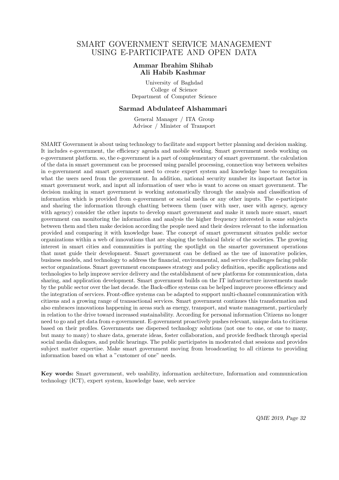### SMART GOVERNMENT SERVICE MANAGEMENT USING E-PARTICIPATE AND OPEN DATA

#### **Ammar Ibrahim Shihab Ali Habib Kashmar**

University of Baghdad College of Science Department of Computer Science

#### **Sarmad Abdulateef Alshammari**

General Manager / ITA Group Advisor / Minister of Transport

SMART Government is about using technology to facilitate and support better planning and decision making. It includes e-government, the efficiency agenda and mobile working. Smart government needs working on e-government platform. so, the e-government is a part of complementary of smart government. the calculation of the data in smart government can be processed using parallel processing, connection way between websites in e-government and smart government need to create expert system and knowledge base to recognition what the users need from the government. In addition, national security number its important factor in smart government work, and input all information of user who is want to access on smart government. The decision making in smart government is working automatically through the analysis and classification of information which is provided from e-government or social media or any other inputs. The e-participate and sharing the information through chatting between them (user with user, user with agency, agency with agency) consider the other inputs to develop smart government and make it much more smart, smart government can monitoring the information and analysis the higher frequency interested in some subjects between them and then make decision according the people need and their desires relevant to the information provided and comparing it with knowledge base. The concept of smart government situates public sector organizations within a web of innovations that are shaping the technical fabric of the societies. The growing interest in smart cities and communities is putting the spotlight on the smarter government operations that must guide their development. Smart government can be defined as the use of innovative policies, business models, and technology to address the financial, environmental, and service challenges facing public sector organizations. Smart government encompasses strategy and policy definition, specific applications and technologies to help improve service delivery and the establishment of new platforms for communication, data sharing, and application development. Smart government builds on the IT infrastructure investments made by the public sector over the last decade. the Back-office systems can be helped improve process efficiency and the integration of services. Front-office systems can be adapted to support multi-channel communication with citizens and a growing range of transactional services. Smart government continues this transformation and also embraces innovations happening in areas such as energy, transport, and waste management, particularly in relation to the drive toward increased sustainability. According for personal information Citizens no longer need to go and get data from e-government. E-government proactively pushes relevant, unique data to citizens based on their profiles. Governments use dispersed technology solutions (not one to one, or one to many, but many to many) to share data, generate ideas, foster collaboration, and provide feedback through special social media dialogues, and public hearings. The public participates in moderated chat sessions and provides subject matter expertise. Make smart government moving from broadcasting to all citizens to providing information based on what a "customer of one" needs.

**Key words:** Smart government, web usability, information architecture, Information and communication technology (ICT), expert system, knowledge base, web service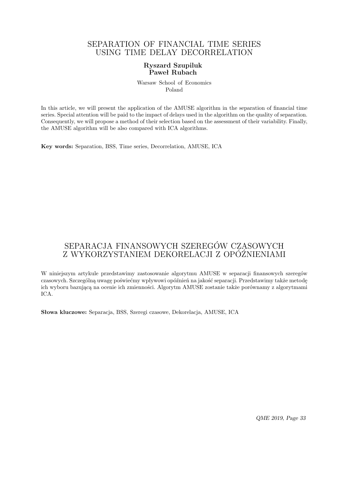### SEPARATION OF FINANCIAL TIME SERIES USING TIME DELAY DECORRELATION

### **Ryszard Szupiluk Paweł Rubach**

Warsaw School of Economics Poland

In this article, we will present the application of the AMUSE algorithm in the separation of financial time series. Special attention will be paid to the impact of delays used in the algorithm on the quality of separation. Consequently, we will propose a method of their selection based on the assessment of their variability. Finally, the AMUSE algorithm will be also compared with ICA algorithms.

**Key words:** Separation, BSS, Time series, Decorrelation, AMUSE, ICA

# SEPARACJA FINANSOWYCH SZEREGÓW CZASOWYCH Z WYKORZYSTANIEM DEKORELACJI Z OPÓŹNIENIAMI

W niniejszym artykule przedstawimy zastosowanie algorytmu AMUSE w separacji finansowych szeregów czasowych. Szczególną uwagę poświećmy wpływowi opóźnień na jakość separacji. Przedstawimy także metodę ich wyboru bazującą na ocenie ich zmienności. Algorytm AMUSE zostanie także porównamy z algorytmami ICA.

**Słowa kluczowe:** Separacja, BSS, Szeregi czasowe, Dekorelacja, AMUSE, ICA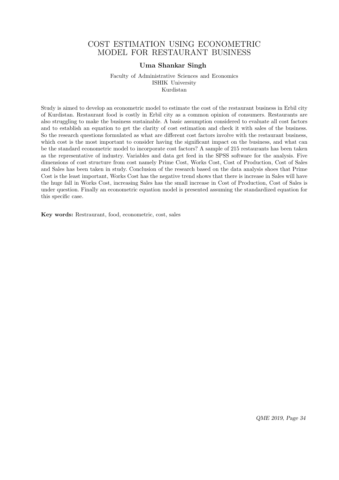### COST ESTIMATION USING ECONOMETRIC MODEL FOR RESTAURANT BUSINESS

#### **Uma Shankar Singh**

Faculty of Administrative Sciences and Economics ISHIK University Kurdistan

Study is aimed to develop an econometric model to estimate the cost of the restaurant business in Erbil city of Kurdistan. Restaurant food is costly in Erbil city as a common opinion of consumers. Restaurants are also struggling to make the business sustainable. A basic assumption considered to evaluate all cost factors and to establish an equation to get the clarity of cost estimation and check it with sales of the business. So the research questions formulated as what are different cost factors involve with the restaurant business, which cost is the most important to consider having the significant impact on the business, and what can be the standard econometric model to incorporate cost factors? A sample of 215 restaurants has been taken as the representative of industry. Variables and data get feed in the SPSS software for the analysis. Five dimensions of cost structure from cost namely Prime Cost, Works Cost, Cost of Production, Cost of Sales and Sales has been taken in study. Conclusion of the research based on the data analysis shoes that Prime Cost is the least important, Works Cost has the negative trend shows that there is increase in Sales will have the huge fall in Works Cost, increasing Sales has the small increase in Cost of Production, Cost of Sales is under question. Finally an econometric equation model is presented assuming the standardized equation for this specific case.

**Key words:** Restraurant, food, econometric, cost, sales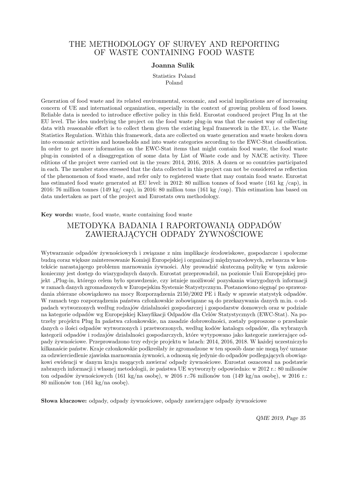### THE METHODOLOGY OF SURVEY AND REPORTING OF WASTE CONTAINING FOOD WASTE

#### **Joanna Sulik**

Statistics Poland Poland

Generation of food waste and its related environmental, economic, and social implications are of increasing concern of UE and international organization, especially in the context of growing problem of food losses. Reliable data is needed to introduce effective policy in this field. Eurostat conduced project Plug In at the EU level. The idea underlying the project on the food waste plug-in was that the easiest way of collecting data with reasonable effort is to collect them given the existing legal framework in the EU, i.e. the Waste Statistics Regulation. Within this framework, data are collected on waste generation and waste broken down into economic activities and households and into waste categories according to the EWC-Stat classification. In order to get more information on the EWC-Stat items that might contain food waste, the food waste plug-in consisted of a disaggregation of some data by List of Waste code and by NACE activity. Three editions of the project were carried out in the years: 2014, 2016, 2018. A dozen or so countries participated in each. The member states stressed that the data collected in this project can not be considered as reflection of the phenomenon of food waste, and refer only to registered waste that may contain food waste. Eurostat has estimated food waste generated at EU level: in 2012: 80 million tonnes of food waste (161 kg /cap), in 2016: 76 million tonnes (149 kg/ cap), in 2016: 80 million tons (161 kg /cap). This estimation has based on data undertaken as part of the project and Eurostats own methodology.

**Key words:** waste, food waste, waste containing food waste

### METODYKA BADANIA I RAPORTOWANIA ODPADÓW ZAWIERAJĄCYCH ODPADY ŻYWNOŚCIOWE

Wytwarzanie odpadów żywnościowych i związane z nim implikacje środowiskowe, gospodarcze i społeczne budzą coraz większe zainteresowanie Komisji Europejskiej i organizacji międzynarodowych, zwłaszcza w kontekście narastającego problemu marnowania żywności. Aby prowadzić skuteczną politykę w tym zakresie konieczny jest dostęp do wiarygodnych danych. Eurostat przeprowadził, na poziomie Unii Europejskiej projekt "Plug-in, którego celem było sprawdzenie, czy istnieje możliwość pozyskania wiarygodnych informacji w ramach danych zgromadzonych w Europejskim Systemie Statystycznym. Postanowiono sięgnąć po sprawozdania zbierane obowiązkowo na mocy Rozporządzenia 2150/2002 PE i Rady w sprawie statystyk odpadów. W ramach tego rozporządzenia państwa członkowskie zobowiązane są do przekazywania danych m.in. o odpadach wytworzonych według rodzajów działalności gospodarczej i gospodarstw domowych oraz w podziale na kategorie odpadów wg Europejskiej Klasyfikacji Odpadów dla Celów Statystycznych (EWC-Stat). Na potrzeby projektu Plug In państwa członkowskie, na zasadzie dobrowolności, zostały poproszone o przesłanie danych o ilości odpadów wytworzonych i przetworzonych, według kodów katalogu odpadów, dla wybranych kategorii odpadów i rodzajów działalności gospodarczych, które wytypowano jako kategorie zawierające odpady żywnościowe. Przeprowadzono trzy edycje projektu w latach: 2014, 2016, 2018. W każdej uczestniczyło kilkanaście państw. Kraje członkowskie podkreślały że zgromadzone w ten sposób dane nie mogą być uznane za odzwierciedlenie zjawiska marnowania żywności, a odnoszą się jedynie do odpadów podlegających obowiązkowi ewidencji w danym kraju mogących zawierać odpady żywnościowe. Eurostat oszacował na podstawie zabranych informacji i własnej metodologii, że państwa UE wytworzyły odpowiednio: w 2012 r.: 80 milionów ton odpadów żywnościowych (161 kg/na osobę), w 2016 r.:76 milionów ton (149 kg/na osobę), w 2016 r.: 80 milionów ton (161 kg/na osobę).

**Słowa kluczowe:** odpady, odpady żywnościowe, odpady zawierające odpady żywnościowe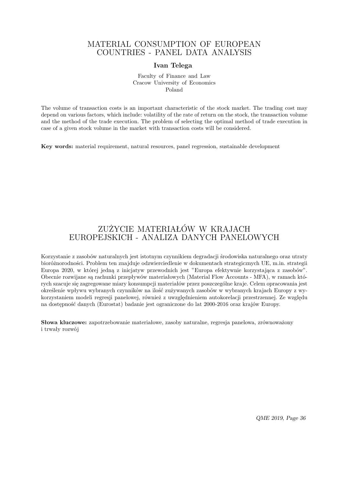### MATERIAL CONSUMPTION OF EUROPEAN COUNTRIES - PANEL DATA ANALYSIS

#### **Ivan Telega**

Faculty of Finance and Law Cracow University of Economics Poland

The volume of transaction costs is an important characteristic of the stock market. The trading cost may depend on various factors, which include: volatility of the rate of return on the stock, the transaction volume and the method of the trade execution. The problem of selecting the optimal method of trade execution in case of a given stock volume in the market with transaction costs will be considered.

**Key words:** material requirement, natural resources, panel regression, sustainable development

# ZUŻYCIE MATERIAŁÓW W KRAJACH EUROPEJSKICH - ANALIZA DANYCH PANELOWYCH

Korzystanie z zasobów naturalnych jest istotnym czynnikiem degradacji środowiska naturalnego oraz utraty bioróżnorodności. Problem ten znajduje odzwierciedlenie w dokumentach strategicznych UE, m.in. strategii Europa 2020, w której jedną z inicjatyw przewodnich jest "Europa efektywnie korzystająca z zasobów". Obecnie rozwijane są rachunki przepływów materiałowych (Material Flow Accounts - MFA), w ramach których szacuje się zagregowane miary konsumpcji materiałów przez poszczególne kraje. Celem opracowania jest określenie wpływu wybranych czynników na ilość zużywanych zasobów w wybranych krajach Europy z wykorzystaniem modeli regresji panelowej, również z uwzględnieniem autokorelacji przestrzennej. Ze względu na dostępność danych (Eurostat) badanie jest ograniczone do lat 2000-2016 oraz krajów Europy.

**Słowa kluczowe:** zapotrzebowanie materiałowe, zasoby naturalne, regresja panelowa, zrównoważony i trwały rozwój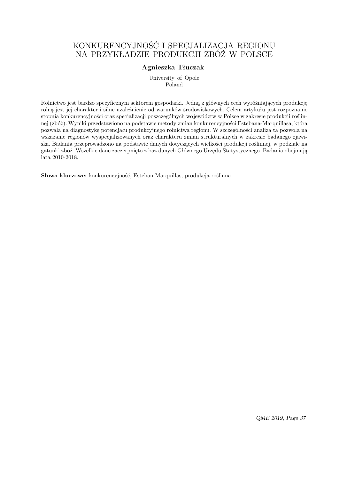# KONKURENCYJNOŚĆ I SPECJALIZACJA REGIONU NA PRZYKŁADZIE PRODUKCJI ZBÓŻ W POLSCE

### **Agnieszka Tłuczak**

University of Opole Poland

Rolnictwo jest bardzo specyficznym sektorem gospodarki. Jedną z głównych cech wyróżniających produkcję rolną jest jej charakter i silne uzależnienie od warunków środowiskowych. Celem artykułu jest rozpoznanie stopnia konkurencyjności oraz specjalizacji poszczególnych województw w Polsce w zakresie produkcji roślinnej (zbóż). Wyniki przedstawiono na podstawie metody zmian konkurencyjności Estebana-Marquillasa, która pozwala na diagnostykę potencjału produkcyjnego rolnictwa regionu. W szczególności analiza ta pozwola na wskazanie regionów wyspecjalizowanych oraz charakteru zmian strukturalnych w zakresie badanego zjawiska. Badania przeprowadzono na podstawie danych dotyczących wielkości produkcji roślinnej, w podziale na gatunki zbóż. Wszelkie dane zaczerpnięto z baz danych Głównego Urzędu Statystycznego. Badania obejmują lata 2010-2018.

**Słowa kluczowe:** konkurencyjność, Esteban-Marquillas, produkcja roślinna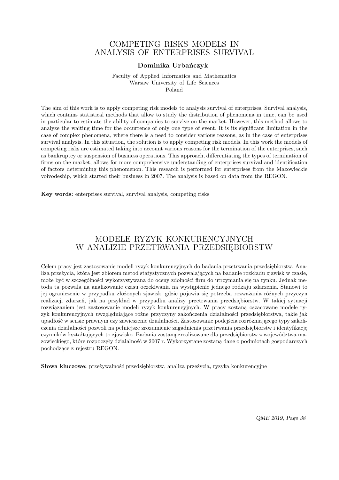### COMPETING RISKS MODELS IN ANALYSIS OF ENTERPRISES SURVIVAL

#### **Dominika Urbańczyk**

Faculty of Applied Informatics and Mathematics Warsaw University of Life Sciences Poland

The aim of this work is to apply competing risk models to analysis survival of enterprises. Survival analysis, which contains statistical methods that allow to study the distribution of phenomena in time, can be used in particular to estimate the ability of companies to survive on the market. However, this method allows to analyze the waiting time for the occurrence of only one type of event. It is its significant limitation in the case of complex phenomena, where there is a need to consider various reasons, as in the case of enterprises survival analysis. In this situation, the solution is to apply competing risk models. In this work the models of competing risks are estimated taking into account various reasons for the termination of the enterprises, such as bankruptcy or suspension of business operations. This approach, differentiating the types of termination of firms on the market, allows for more comprehensive understanding of enterprises survival and identification of factors determining this phenomenon. This research is performed for enterprises from the Mazowieckie voivodeship, which started their business in 2007. The analysis is based on data from the REGON.

**Key words:** enterprises survival, survival analysis, competing risks

### MODELE RYZYK KONKURENCYJNYCH W ANALIZIE PRZETRWANIA PRZEDSIĘBIORSTW

Celem pracy jest zastosowanie modeli ryzyk konkurencyjnych do badania przetrwania przedsiębiorstw. Analiza przeżycia, która jest zbiorem metod statystycznych pozwalających na badanie rozkładu zjawisk w czasie, może być w szczególności wykorzystywana do oceny zdolności firm do utrzymania się na rynku. Jednak metoda ta pozwala na analizowanie czasu oczekiwania na wystąpienie jednego rodzaju zdarzenia. Stanowi to jej ograniczenie w przypadku złożonych zjawisk, gdzie pojawia się potrzeba rozważania różnych przyczyn realizacji zdarzeń, jak na przykład w przypadku analizy przetrwania przedsiębiorstw. W takiej sytuacji rozwiązaniem jest zastosowanie modeli ryzyk konkurencyjnych. W pracy zostaną oszacowane modele ryzyk konkurencyjnych uwzględniające różne przyczyny zakończenia działalności przedsiębiorstwa, takie jak upadłość w sensie prawnym czy zawieszenie działalności. Zastosowanie podejścia rozróżniającego typy zakończenia działalności pozwoli na pełniejsze zrozumienie zagadnienia przetrwania przedsiębiorstw i identyfikację czynników kształtujących to zjawisko. Badania zostaną zrealizowane dla przedsiębiorstw z województwa mazowieckiego, które rozpoczęły działalność w 2007 r. Wykorzystane zostaną dane o podmiotach gospodarczych pochodzące z rejestru REGON.

**Słowa kluczowe:** przeżywalność przedsiębiorstw, analiza przeżycia, ryzyka konkurencyjne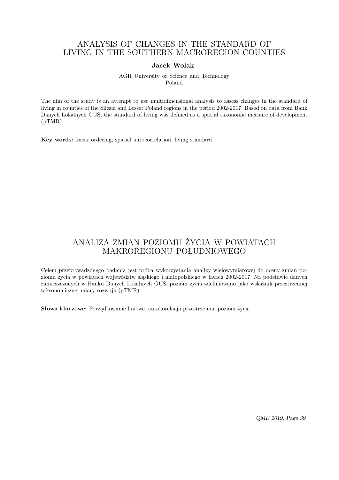### ANALYSIS OF CHANGES IN THE STANDARD OF LIVING IN THE SOUTHERN MACROREGION COUNTIES

#### **Jacek Wolak**

AGH University of Science and Technology Poland

The aim of the study is an attempt to use multidimensional analysis to assess changes in the standard of living in counties of the Silesia and Lesser Poland regions in the period 2002-2017. Based on data from Bank Danych Lokalnych GUS, the standard of living was defined as a spatial taxonomic measure of development (pTMR).

**Key words:** linear ordering, spatial autocorrelation, living standard

### ANALIZA ZMIAN POZIOMU ŻYCIA W POWIATACH MAKROREGIONU POŁUDNIOWEGO

Celem przeprowadzonego badania jest próba wykorzystania analizy wielowymiarowej do oceny zmian poziomu życia w powiatach województw śląskiego i małopolskiego w latach 2002-2017. Na podstawie danych zamieszczonych w Banku Danych Lokalnych GUS, poziom życia zdefiniowano jako wskaźnik przestrzennej taksonomicznej miary rozwoju (pTMR).

**Słowa kluczowe:** Porządkowanie liniowe, autokorelacja przestrzenna, poziom życia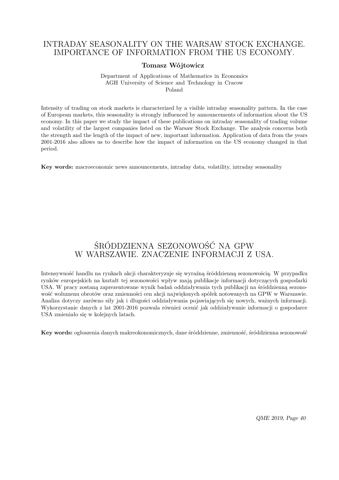### INTRADAY SEASONALITY ON THE WARSAW STOCK EXCHANGE. IMPORTANCE OF INFORMATION FROM THE US ECONOMY.

### **Tomasz Wójtowicz**

Department of Applications of Mathematics in Economics AGH University of Science and Technology in Cracow Poland

Intensity of trading on stock markets is characterized by a visible intraday seasonality pattern. In the case of European markets, this seasonality is strongly influenced by announcements of information about the US economy. In this paper we study the impact of these publications on intraday seasonality of trading volume and volatility of the largest companies listed on the Warsaw Stock Exchange. The analysis concerns both the strength and the length of the impact of new, important information. Application of data from the years 2001-2016 also allows us to describe how the impact of information on the US economy changed in that period.

**Key words:** macroeconomic news announcements, intraday data, volatility, intraday seasonality

# ŚRÓDDZIENNA SEZONOWOŚĆ NA GPW W WARSZAWIE. ZNACZENIE INFORMACJI Z USA.

Intensywność handlu na rynkach akcji charakteryzuje się wyraźną śróddzienną sezonowością. W przypadku rynków europejskich na kształt tej sezonowości wpływ mają publikacje informacji dotyczących gospodarki USA. W pracy zostaną zaprezentowane wynik badań oddziaływania tych publikacji na śróddzienną sezonowość wolumenu obrotów oraz zmienności cen akcji największych spółek notowanych na GPW w Warszawie. Analiza dotyczy zarówno siły jak i długości oddziaływania pojawiających się nowych, ważnych informacji. Wykorzystanie danych z lat 2001-2016 pozwala również ocenić jak oddziaływanie informacji o gospodarce USA zmieniało się w kolejnych latach.

**Key words:** ogłoszenia danych makreokonomicznych, dane śróddzienne, zmienność, śróddzienna sezonowość